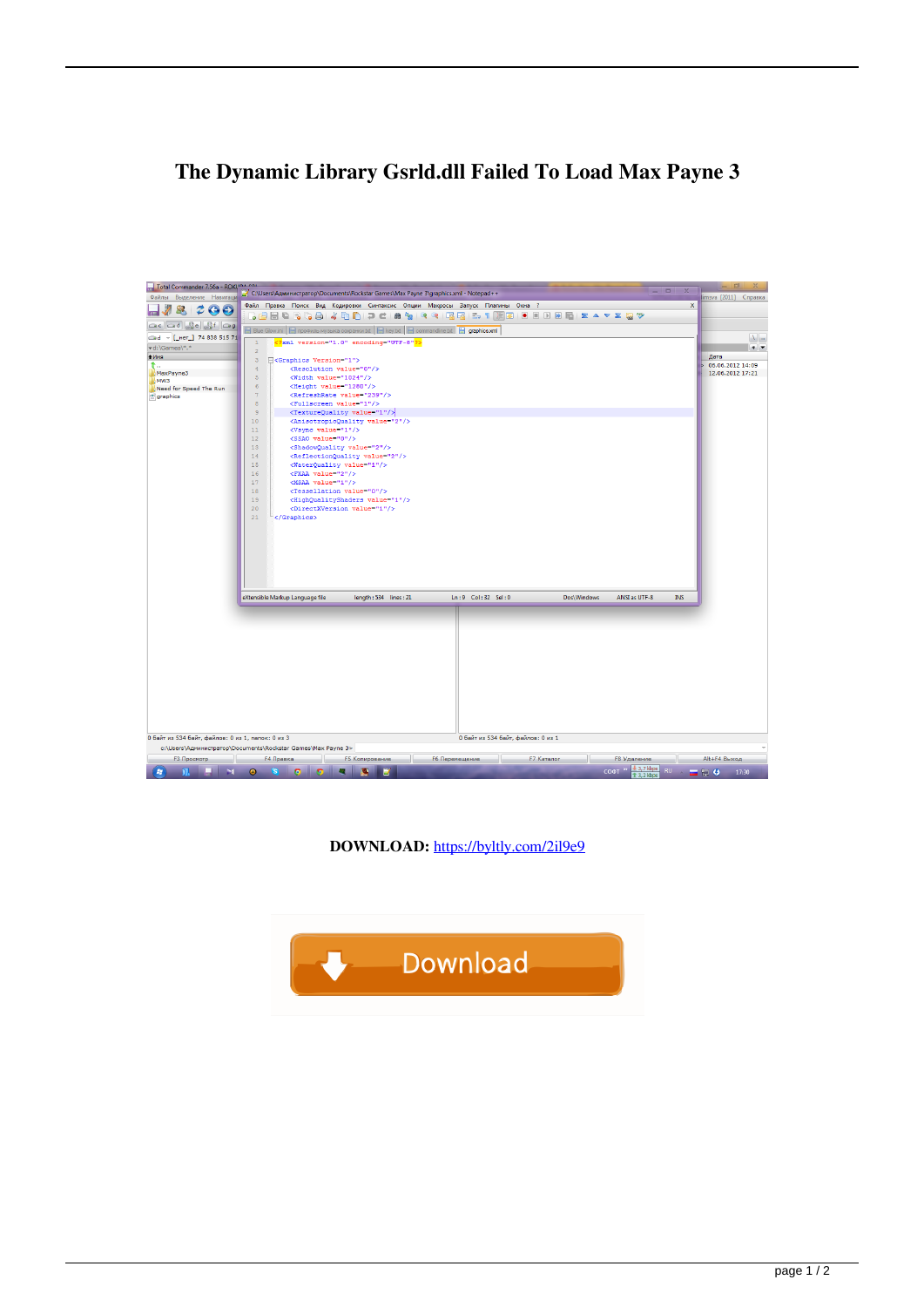## **The Dynamic Library Gsrld.dll Failed To Load Max Payne 3**



**DOWNLOAD:** <https://byltly.com/2il9e9>